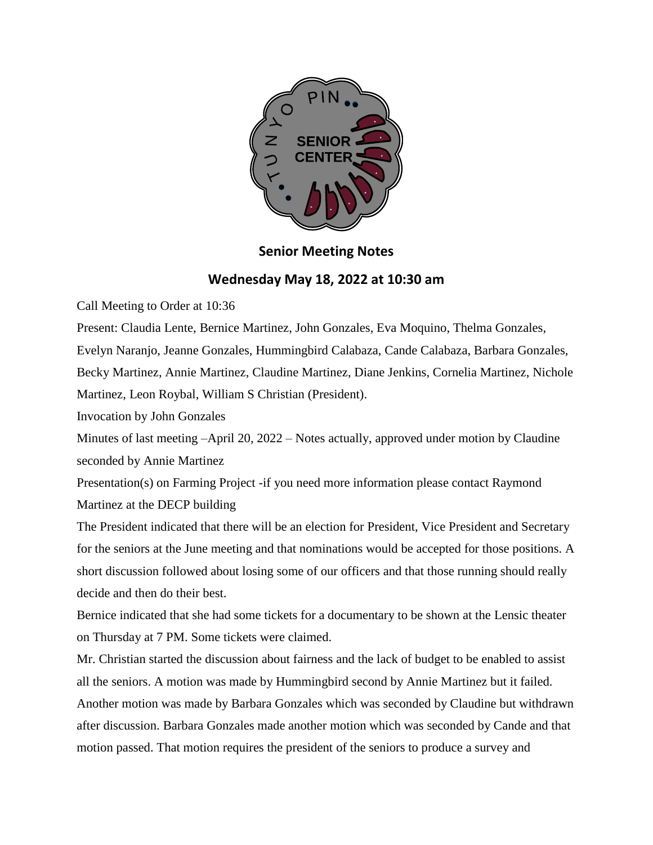

## **Senior Meeting Notes**

## **Wednesday May 18, 2022 at 10:30 am**

Call Meeting to Order at 10:36

Present: Claudia Lente, Bernice Martinez, John Gonzales, Eva Moquino, Thelma Gonzales, Evelyn Naranjo, Jeanne Gonzales, Hummingbird Calabaza, Cande Calabaza, Barbara Gonzales, Becky Martinez, Annie Martinez, Claudine Martinez, Diane Jenkins, Cornelia Martinez, Nichole Martinez, Leon Roybal, William S Christian (President).

Invocation by John Gonzales

Minutes of last meeting –April 20, 2022 – Notes actually, approved under motion by Claudine seconded by Annie Martinez

Presentation(s) on Farming Project -if you need more information please contact Raymond Martinez at the DECP building

The President indicated that there will be an election for President, Vice President and Secretary for the seniors at the June meeting and that nominations would be accepted for those positions. A short discussion followed about losing some of our officers and that those running should really decide and then do their best.

Bernice indicated that she had some tickets for a documentary to be shown at the Lensic theater on Thursday at 7 PM. Some tickets were claimed.

Mr. Christian started the discussion about fairness and the lack of budget to be enabled to assist all the seniors. A motion was made by Hummingbird second by Annie Martinez but it failed. Another motion was made by Barbara Gonzales which was seconded by Claudine but withdrawn after discussion. Barbara Gonzales made another motion which was seconded by Cande and that motion passed. That motion requires the president of the seniors to produce a survey and